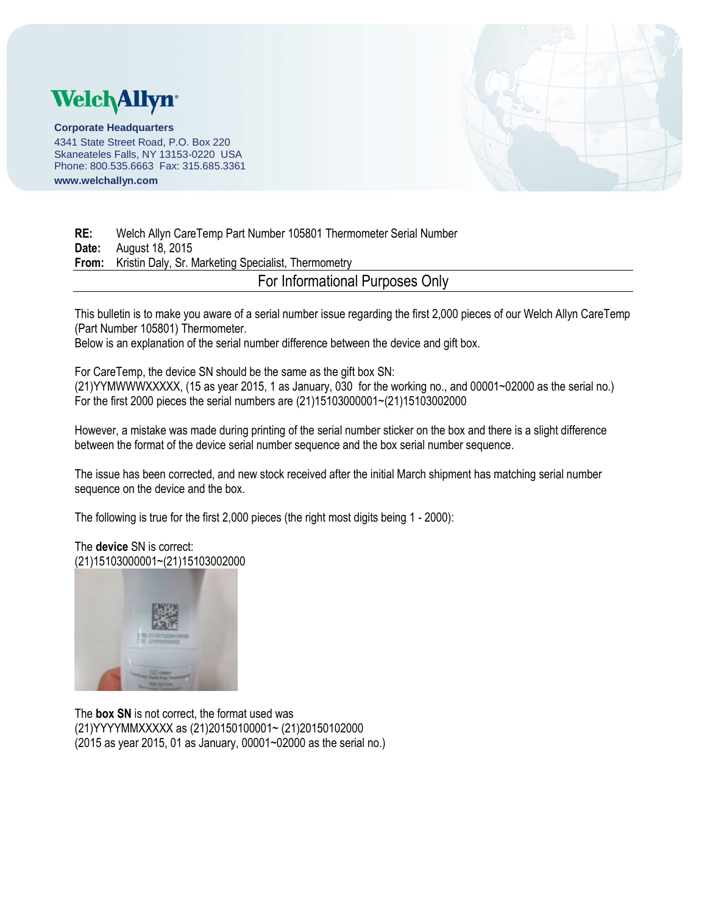## **Welch Allyn**

**Corporate Headquarters** 4341 State Street Road, P.O. Box 220 Skaneateles Falls, NY 13153-0220 USA Phone: 800.535.6663 Fax: 315.685.3361 **www.welchallyn.com**



**RE:** Welch Allyn CareTemp Part Number 105801 Thermometer Serial Number **Date:** August 18, 2015 **From:** Kristin Daly, Sr. Marketing Specialist, Thermometry For Informational Purposes Only

This bulletin is to make you aware of a serial number issue regarding the first 2,000 pieces of our Welch Allyn CareTemp (Part Number 105801) Thermometer.

Below is an explanation of the serial number difference between the device and gift box.

For CareTemp, the device SN should be the same as the gift box SN: (21)YYMWWWXXXXX, (15 as year 2015, 1 as January, 030 for the working no., and 00001~02000 as the serial no.) For the first 2000 pieces the serial numbers are (21)15103000001~(21)15103002000

However, a mistake was made during printing of the serial number sticker on the box and there is a slight difference between the format of the device serial number sequence and the box serial number sequence.

The issue has been corrected, and new stock received after the initial March shipment has matching serial number sequence on the device and the box.

The following is true for the first 2,000 pieces (the right most digits being 1 - 2000):

## The **device** SN is correct: (21)15103000001~(21)15103002000



The **box SN** is not correct, the format used was (21)YYYYMMXXXXX as (21)20150100001~ (21)20150102000 (2015 as year 2015, 01 as January, 00001~02000 as the serial no.)